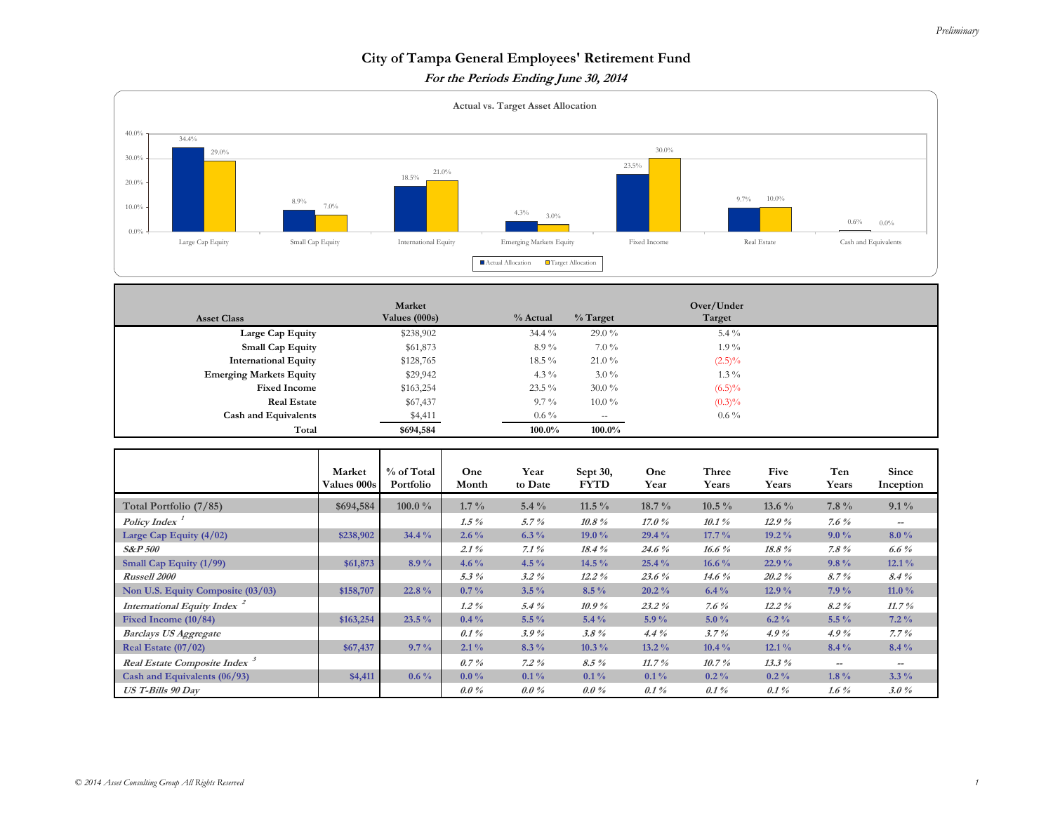## **City of Tampa General Employees' Retirement Fund**

**For the Periods Ending June 30, 2014** 



| <b>Asset Class</b>             | Market<br>Values (000s) | % Actual | $%$ Target | Over/Under<br>Target |  |
|--------------------------------|-------------------------|----------|------------|----------------------|--|
| Large Cap Equity               | \$238,902               | 34.4 %   | $29.0\%$   | $5.4\%$              |  |
| <b>Small Cap Equity</b>        | \$61,873                | $8.9\%$  | $7.0\%$    | $1.9\%$              |  |
| <b>International Equity</b>    | \$128,765               | 18.5%    | $21.0\%$   | $(2.5)\%$            |  |
| <b>Emerging Markets Equity</b> | \$29,942                | 4.3 $\%$ | $3.0\%$    | $1.3\%$              |  |
| <b>Fixed Income</b>            | \$163,254               | $23.5\%$ | $30.0\%$   | $(6.5)\%$            |  |
| <b>Real Estate</b>             | \$67,437                | $9.7\%$  | $10.0\,\%$ | $(0.3)\%$            |  |
| <b>Cash and Equivalents</b>    | \$4,411                 | $0.6\%$  | $- -$      | $0.6\%$              |  |
| Total                          | \$694,584               | 100.0%   | 100.0%     |                      |  |

|                                          | Market<br><b>Values 000s</b> | % of Total<br>Portfolio | One<br>Month | Year<br>to Date | Sept 30,<br><b>FYTD</b> | One<br>Year | Three<br>Years | Five<br>Years | Ten<br>Years                          | Since<br>Inception       |
|------------------------------------------|------------------------------|-------------------------|--------------|-----------------|-------------------------|-------------|----------------|---------------|---------------------------------------|--------------------------|
| Total Portfolio (7/85)                   | \$694,584                    | $100.0 \%$              | $1.7\%$      | $5.4\%$         | 11.5 $\%$               | $18.7\%$    | $10.5\%$       | 13.6 $\%$     | $7.8\%$                               | $9.1\%$                  |
| Policy Index <sup>1</sup>                |                              |                         | $1.5\%$      | 5.7%            | $10.8\%$                | 17.0%       | 10.1%          | 12.9%         | 7.6 $%$                               | --                       |
| Large Cap Equity $(4/02)$                | \$238,902                    | $34.4\%$                | $2.6\%$      | $6.3\%$         | 19.0%                   | 29.4 %      | $17.7\%$       | $19.2\%$      | $9.0\%$                               | $8.0\%$                  |
| <b>S&amp;P 500</b>                       |                              |                         | $2.1\%$      | $7.1\%$         | 18.4%                   | 24.6%       | 16.6%          | 18.8%         | $7.8\%$                               | $6.6\%$                  |
| Small Cap Equity (1/99)                  | \$61,873                     | $8.9\%$                 | 4.6 $\%$     | 4.5 $\%$        | 14.5 %                  | 25.4%       | 16.6 $\%$      | 22.9%         | $9.8\%$                               | $12.1\%$                 |
| <b>Russell 2000</b>                      |                              |                         | $5.3\%$      | $3.2\%$         | $12.2\%$                | 23.6%       | $14.6\%$       | 20.2%         | 8.7%                                  | 8.4%                     |
| Non U.S. Equity Composite (03/03)        | \$158,707                    | 22.8%                   | $0.7\%$      | $3.5\%$         | $8.5\%$                 | $20.2\%$    | $6.4\%$        | 12.9%         | $7.9\%$                               | 11.0 $\%$                |
| International Equity Index <sup>2</sup>  |                              |                         | $1.2\%$      | 5.4%            | 10.9%                   | 23.2%       | 7.6 $%$        | $12.2\%$      | 8.2%                                  | 11.7%                    |
| Fixed Income $(10/84)$                   | \$163,254                    | $23.5\%$                | $0.4\%$      | $5.5\%$         | $5.4\%$                 | $5.9\%$     | $5.0\%$        | $6.2\%$       | $5.5\%$                               | $7.2\%$                  |
| <b>Barclays US Aggregate</b>             |                              |                         | $0.1\%$      | 3.9%            | $3.8\%$                 | $4.4\%$     | 3.7%           | $4.9\%$       | 4.9%                                  | $7.7\%$                  |
| Real Estate $(07/02)$                    | \$67,437                     | $9.7\%$                 | $2.1\%$      | $8.3\%$         | $10.3\%$                | $13.2\%$    | $10.4\%$       | $12.1\%$      | $8.4\%$                               | $8.4\%$                  |
| Real Estate Composite Index <sup>3</sup> |                              |                         | $0.7\%$      | $7.2\%$         | $8.5\%$                 | 11.7%       | 10.7%          | 13.3%         | $\hspace{0.05cm}$ – $\hspace{0.05cm}$ | $\overline{\phantom{m}}$ |
| Cash and Equivalents (06/93)             | \$4,411                      | $0.6\%$                 | $0.0\%$      | $0.1\%$         | $0.1\%$                 | $0.1\%$     | $0.2\%$        | $0.2\%$       | $1.8\%$                               | $3.3\%$                  |
| <b>US T-Bills 90 Day</b>                 |                              |                         | $0.0\%$      | $0.0\%$         | $0.0\%$                 | $0.1\%$     | $0.1\%$        | $0.1\%$       | $1.6\%$                               | $3.0\%$                  |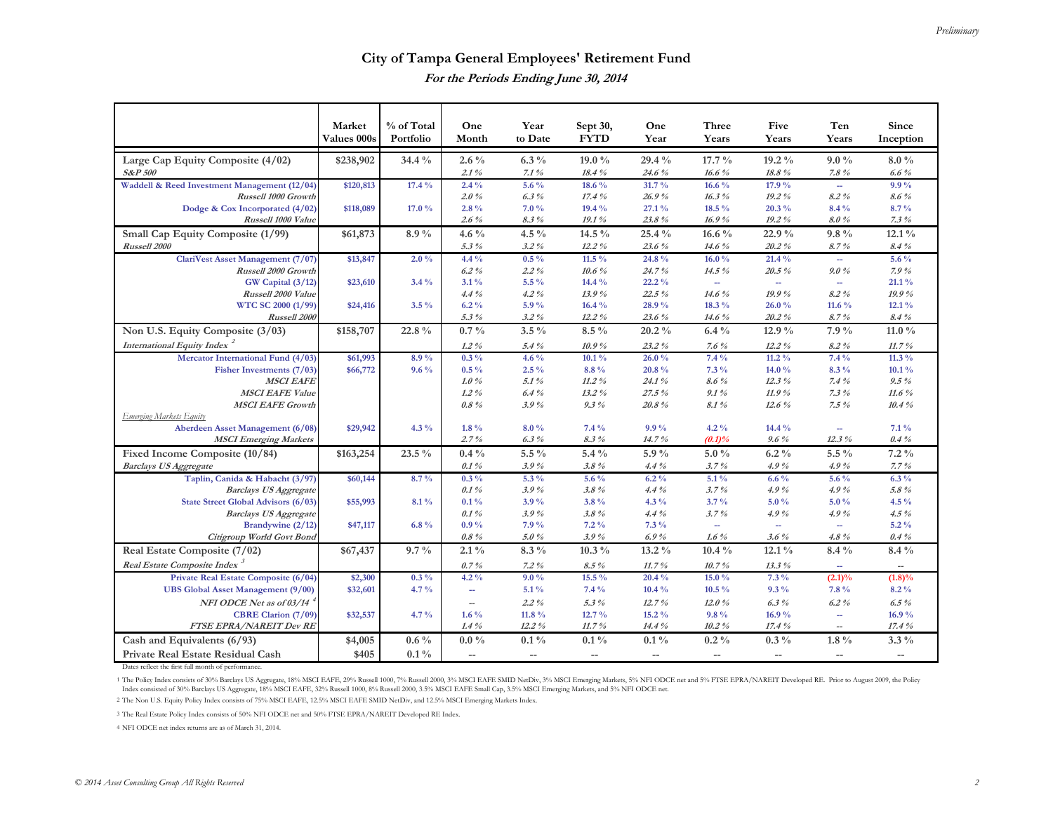## **City of Tampa General Employees' Retirement Fund For the Periods Ending June 30, 2014**

|                                                                                   | Market              | % of Total         | One                       | Year                     | Sept 30,                                            | One                      | Three                    | Five                     | Ten                                                 | Since                    |
|-----------------------------------------------------------------------------------|---------------------|--------------------|---------------------------|--------------------------|-----------------------------------------------------|--------------------------|--------------------------|--------------------------|-----------------------------------------------------|--------------------------|
|                                                                                   | Values 000s         | Portfolio          | Month                     | to Date                  | <b>FYTD</b>                                         | Year                     | Years                    | Years                    | Years                                               | Inception                |
| Large Cap Equity Composite (4/02)                                                 | \$238,902           | 34.4 %             | $2.6\%$                   | $6.3\%$                  | 19.0 %                                              | 29.4 %                   | 17.7 %                   | 19.2 %                   | $9.0\%$                                             | $8.0\%$                  |
| <b>S&amp;P 500</b>                                                                |                     |                    | 2.1%                      | 7.1%                     | 18.4%                                               | 24.6%                    | 16.6%                    | $18.8\%$                 | $7.8 \%$                                            | $6.6\%$                  |
| Waddell & Reed Investment Management (12/04)                                      | \$120,813           | 17.4 %             | $2.4\%$                   | 5.6 %                    | 18.6 %                                              | 31.7%                    | 16.6 %                   | 17.9 %                   | $\sim$                                              | $9.9\%$                  |
| Russell 1000 Growth                                                               |                     |                    | $2.0\%$                   | $6.3\%$                  | 17.4%                                               | 26.9%                    | 16.3%                    | 19.2%                    | 8.2%                                                | $8.6\%$                  |
| Dodge & Cox Incorporated (4/02)                                                   | \$118,089           | 17.0 %             | 2.8%                      | 7.0%                     | 19.4 %                                              | 27.1%                    | 18.5 %                   | 20.3 %                   | 8.4 %                                               | 8.7%                     |
| Russell 1000 Value                                                                |                     |                    | $2.6\%$                   | $8.3\%$                  | 19.1%                                               | 23.8%                    | 16.9%                    | $19.2\%$                 | 8.0%                                                | 7.3%                     |
| Small Cap Equity Composite (1/99)                                                 | \$61,873            | $8.9\%$            | 4.6 $\%$                  | 4.5 $\%$                 | 14.5 %                                              | 25.4 %                   | 16.6 $\%$                | 22.9%                    | $9.8\%$                                             | $12.1\%$                 |
| Russell 2000                                                                      |                     |                    | 5.3%                      | $3.2\%$                  | $12.2\%$                                            | 23.6%                    | 14.6%                    | 20.2%                    | 8.7%                                                | 8.4%                     |
| ClariVest Asset Management (7/07)                                                 | \$13,847            | $2.0\%$            | $4.4\%$                   | $0.5\%$                  | 11.5 $\%$                                           | 24.8%                    | 16.0%                    | 21.4 %                   | $\sim$                                              | 5.6 %                    |
| Russell 2000 Growth                                                               |                     |                    | $6.2\%$                   | $2.2\%$                  | $10.6\%$                                            | 24.7%                    | 14.5 %                   | 20.5 %                   | 9.0%                                                | 7.9%                     |
| GW Capital (3/12)                                                                 | \$23,610            | $3.4\%$            | $3.1\%$                   | 5.5 %                    | $14.4\%$                                            | 22.2%                    | $\sim$                   | $\overline{\phantom{a}}$ | $\sim$                                              | 21.1%                    |
| Russell 2000 Value                                                                |                     |                    | $4.4\%$                   | $4.2\%$                  | 13.9%                                               | 22.5%                    | 14.6%                    | 19.9%                    | 8.2%                                                | 19.9%                    |
| WTC SC 2000 (1/99)                                                                | \$24,416            | $3.5\%$            | $6.2\%$                   | 5.9%                     | $16.4\%$                                            | 28.9%                    | 18.3 %                   | 26.0%                    | 11.6 $%$                                            | $12.1\%$                 |
| Russell 2000                                                                      |                     |                    | $5.3\%$                   | $3.2\%$                  | $12.2\%$                                            | 23.6%                    | 14.6%                    | $20.2\%$                 | 8.7%                                                | $8.4\%$                  |
| Non U.S. Equity Composite (3/03)                                                  | \$158,707           | 22.8 %             | $0.7\%$                   | $3.5\%$                  | $8.5\%$                                             | $20.2\%$                 | $6.4\%$                  | 12.9 %                   | 7.9 %                                               | 11.0 $\%$                |
| International Equity Index <sup>2</sup>                                           |                     |                    | $1.2\%$                   | 5.4%                     | 10.9%                                               | 23.2%                    | $7.6~\%$                 | $12.2\%$                 | $8.2\%$                                             | 11.7%                    |
| Mercator International Fund (4/03)                                                | \$61,993            | 8.9%               | $0.3\%$                   | 4.6 $%$                  | $10.1\%$                                            | 26.0%                    | $7.4\%$                  | $11.2\%$                 | 7.4%                                                | 11.3 $\%$                |
| Fisher Investments (7/03)                                                         | \$66,772            | $9.6\%$            | $0.5\%$                   | $2.5\%$                  | $8.8\%$                                             | 20.8%                    | $7.3\%$                  | 14.0 %                   | 8.3%                                                | $10.1\%$                 |
| <b>MSCI EAFE</b>                                                                  |                     |                    | 1.0%                      | 5.1%                     | $11.2\%$                                            | 24.1%                    | 8.6%                     | 12.3%                    | 7.4%                                                | $9.5\%$                  |
| <b>MSCI EAFE Value</b>                                                            |                     |                    | $1.2\%$                   | 6.4%                     | $13.2\%$                                            | 27.5%                    | 9.1%                     | 11.9%                    | $7.3\%$                                             | 11.6%                    |
| <b>MSCI EAFE Growth</b>                                                           |                     |                    | $0.8\%$                   | 3.9%                     | $9.3\%$                                             | 20.8%                    | 8.1%                     | 12.6%                    | 7.5%                                                | 10.4%                    |
| Emerging Markets Equity                                                           |                     |                    |                           |                          |                                                     |                          |                          |                          |                                                     |                          |
| Aberdeen Asset Management (6/08)                                                  | \$29,942            | $4.3\%$            | $1.8\%$                   | $8.0\%$                  | 7.4%                                                | $9.9\%$                  | $4.2\%$                  | 14.4 %                   | $\overline{\phantom{a}}$                            | $7.1\%$                  |
| <b>MSCI</b> Emerging Markets                                                      |                     |                    | 2.7%                      | $6.3\%$                  | $8.3\%$                                             | 14.7%                    | (0.1)%                   | $9.6\%$                  | 12.3%                                               | $0.4\%$                  |
| Fixed Income Composite (10/84)                                                    | \$163,254           | 23.5 %             | $0.4\%$                   | $5.5\%$                  | $5.4\%$                                             | 5.9%                     | $5.0\%$                  | $6.2\%$                  | $5.5\%$                                             | $7.2\%$                  |
| <b>Barclays US Aggregate</b>                                                      |                     |                    | 0.1%                      | 3.9%                     | 3.8%                                                | 4.4%                     | 3.7%                     | 4.9%                     | 4.9%                                                | 7.7%                     |
| Taplin, Canida & Habacht (3/97)                                                   | \$60,144            | 8.7%               | $0.3\%$                   | 5.3 %                    | 5.6 %                                               | $6.2\%$                  | $5.1\%$                  | $6.6\%$                  | 5.6 %                                               | $6.3\%$                  |
| <b>Barclays US Aggregate</b>                                                      |                     |                    | 0.1%                      | 3.9%                     | 3.8%                                                | 4.4%                     | 3.7%                     | 4.9%                     | 4.9%                                                | 5.8%                     |
| State Street Global Advisors (6/03)                                               | \$55,993            | 8.1%               | $0.1\%$                   | 3.9%                     | 3.8%                                                | $4.3\%$                  | $3.7\%$                  | $5.0\%$                  | $5.0 \%$                                            | 4.5 %                    |
| <b>Barclays US Aggregate</b><br>Brandywine (2/12)                                 |                     |                    | 0.1%<br>$0.9\%$           | 3.9%<br>7.9%             | 3.8%<br>$7.2\%$                                     | 4.4%<br>$7.3\%$          | 3.7%                     | 4.9%                     | 4.9%                                                | $4.5\%$<br>$5.2\%$       |
| Citigroup World Govt Bond                                                         | \$47,117            | $6.8\%$            | $0.8\%$                   | 5.0%                     | 3.9%                                                | 6.9%                     | $\sim$<br>$1.6~\%$       | ÷,<br>3.6%               | $\overline{\phantom{a}}$<br>$4.8\%$                 | $0.4\%$                  |
| Real Estate Composite (7/02)                                                      | \$67,437            | $9.7\%$            | $2.1\%$                   | $8.3\%$                  | $10.3\%$                                            | $13.2\%$                 | $10.4\%$                 | $12.1\%$                 | $8.4\%$                                             | $8.4\%$                  |
| Real Estate Composite Index <sup>3</sup>                                          |                     |                    |                           |                          |                                                     |                          |                          |                          |                                                     |                          |
|                                                                                   |                     |                    | 0.7%                      | $7.2\%$                  | $8.5\%$<br>$15.5\%$                                 | 11.7%                    | 10.7%                    | 13.3%                    | $\sim$                                              | $\overline{\phantom{a}}$ |
| Private Real Estate Composite (6/04)<br><b>UBS</b> Global Asset Management (9/00) | \$2,300<br>\$32,601 | $0.3\%$<br>$4.7\%$ | $4.2\%$<br>$\mathbb{Z}^2$ | $9.0\%$<br>$5.1\%$       | 7.4%                                                | 20.4 %<br>$10.4\%$       | 15.0%<br>10.5 %          | $7.3\%$<br>$9.3\%$       | $(2.1)\%$<br>7.8%                                   | $(1.8)\%$<br>$8.2\%$     |
|                                                                                   |                     |                    |                           |                          |                                                     |                          |                          |                          |                                                     |                          |
| NFI ODCE Net as of 03/14                                                          |                     |                    | $\overline{\phantom{a}}$  | $2.2\%$                  | 5.3%                                                | 12.7%                    | 12.0%                    | $6.3\%$                  | $6.2\%$                                             | $6.5\%$                  |
| <b>CBRE Clarion (7/09)</b><br>FTSE EPRA/NAREIT Dev RE                             | \$32,537            | $4.7\%$            | $1.6\%$<br>$1.4\%$        | 11.8 %<br>$12.2\%$       | 12.7%                                               | 15.2%<br>14.4 %          | $9.8\%$                  | 16.9%<br>17.4%           | $\overline{\phantom{a}}$                            | 16.9%<br>17.4%           |
|                                                                                   |                     |                    |                           |                          | 11.7%                                               |                          | $10.2\%$                 |                          | $\hspace{0.05cm} -\hspace{0.05cm} -\hspace{0.05cm}$ |                          |
| Cash and Equivalents (6/93)                                                       | \$4,005             | $0.6\%$            | $0.0\%$                   | $0.1\,\%$                | $0.1\%$                                             | $0.1\,\%$                | $0.2\%$                  | $0.3\%$                  | $1.8\%$                                             | $3.3\%$                  |
| Private Real Estate Residual Cash                                                 | \$405               | $0.1\%$            | $\overline{\phantom{a}}$  | $\overline{\phantom{a}}$ | $\hspace{0.05cm} -\hspace{0.05cm} -\hspace{0.05cm}$ | $\overline{\phantom{a}}$ | $\overline{\phantom{m}}$ | $\overline{\phantom{a}}$ | $\overline{\phantom{a}}$                            | $\overline{\phantom{a}}$ |

Dates reflect the first full month of performance.

1 The Policy Index consists of 30% Barclays US Aggregate, 18% MSCI EAFE, 29% Russell 1000, 7% Russell 2000, 3% MSCI EAFE SMID NetDiv, 3% MSCI Energing Markets, 5% NFI ODCE net and 5% FTSE EPRA/NAREIT Developed RE. Prior to Index consisted of 30% Barclays US Aggregate, 18% MSCI EAFE, 32% Russell 1000, 8% Russell 2000, 3.5% MSCI EAFE Small Cap, 3.5% MSCI Emerging Markets, and 5% NFI ODCE net.

2 The Non U.S. Equity Policy Index consists of 75% MSCI EAFE, 12.5% MSCI EAFE SMID NetDiv, and 12.5% MSCI Emerging Markets Index.

3 The Real Estate Policy Index consists of 50% NFI ODCE net and 50% FTSE EPRA/NAREIT Developed RE Index.

4 NFI ODCE net index returns are as of March 31, 2014.